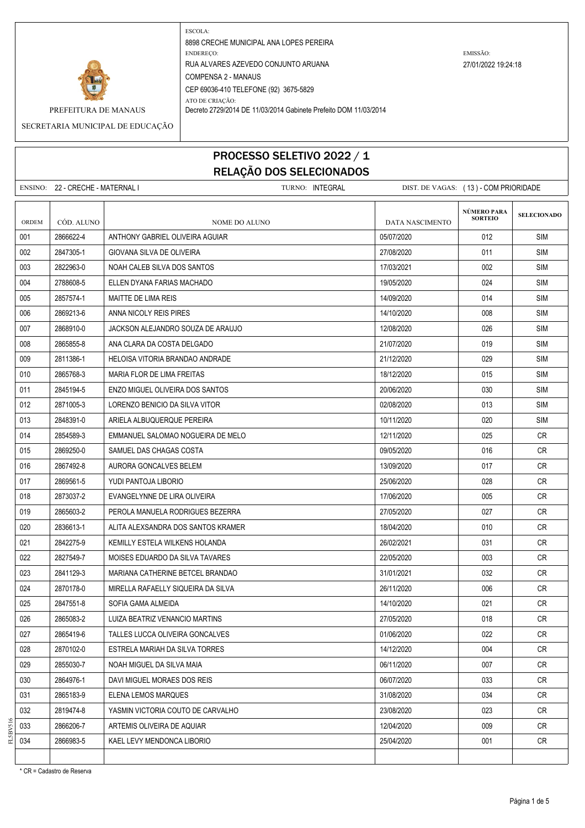

PREFEITURA DE MANAUS Decreto 2729/2014 DE 11/03/2014 Gabinete Prefeito DOM 11/03/2014

SECRETARIA MUNICIPAL DE EDUCAÇÃO

# PROCESSO SELETIVO 2022 / 1 RELAÇÃO DOS SELECIONADOS

ENSINO: 22 - CRECHE - MATERNAL I TURNO: INTEGRAL DIST. DE VAGAS: ( 13 ) - COM PRIORIDADE **SELECIONADO** ORDEM CÓD. ALUNO **NOME DO ALUNO** NOME DO ALUNO DATA NASCIMENTO 001 2866622-4 ANTHONY GABRIEL OLIVEIRA AGUIAR 05/07/2020 012 SIM 002 2847305-1 GIOVANA SILVA DE OLIVEIRA 27/08/2020 011 SIM 003 2822963-0 NOAH CALEB SILVA DOS SANTOS 17/03/2021 SIM 004 2788608-5 ELLEN DYANA FARIAS MACHADO 1990 SIMBLE 2005/2020 19/05/2020 19/05/2020 19/05 005 2857574-1 MAITTE DE LIMA REIS 14/09/2020 14/09/2020 14/09/2020 15 006 2869213-6 ANNA NICOLY REIS PIRES 14/10/2020 SIM 007 2868910-0 JACKSON ALEJANDRO SOUZA DE ARAUJO 12/08/2020 026 SIM 008 2865855-8 ANA CLARA DA COSTA DELGADO 2008 → 21/07/2020 → 21/07/2020 → 21/07/2020 → 21/07 009 2811386-1 HELOISA VITORIA BRANDAO ANDRADE 21/12/2020 200 29 SIM 010 2865768-3 | MARIA FLOR DE LIMA FREITAS | 18/12/2020 | 015 | SIM 011 2845194-5 ENZO MIGUEL OLIVEIRA DOS SANTOS 20/06/2020 030 SIM 012 2871005-3 LORENZO BENICIO DA SILVA VITOR 02/08/2020 013 SIM 013 2848391-0 ARIELA ALBUQUERQUE PEREIRA 10/11/2020 020 SIM 014 2854589-3 EMMANUEL SALOMAO NOGUEIRA DE MELO 12/11/2020 12/11/2020 025 CR 015 2869250-0 SAMUEL DAS CHAGAS COSTA CONTROL DESCRIPTION ON LOGICIAL CRUITS OF LATER CRUITS ON LOGIC CRUITS O 016 2867492-8 AURORA GONCALVES BELEM 13/09/2020 CR 017 2869561-5 VUDI PANTOJA LIBORIO 25/06/2020 25/06/2020 25/06/2020 269 CR 018 2873037-2 EVANGELYNNE DE LIRA OLIVEIRA 17 NOVEMBER 17/06/2020 18 005 CR 019 2865603-2 PEROLA MANUELA RODRIGUES BEZERRA 27/05/2020 27/05/2020 27/05/2020 27 020 2836613-1 ALITA ALEXSANDRA DOS SANTOS KRAMER 18/04/2020 18/04/2020 18/04/2020 18/04/2020 021 2842275-9 KEMILLY ESTELA WILKENS HOLANDA 26/02/2021 031 CR 022 2827549-7 MOISES EDUARDO DA SILVA TAVARES 22/05/2020 22/05/2020 003 CR 023 2841129-3 | MARIANA CATHERINE BETCEL BRANDAO | 31/01/2021 CR 024 2870178-0 MIRELLA RAFAELLY SIQUEIRA DA SILVA 26/11/2020 006 CR 025 2847551-8 SOFIA GAMA ALMEIDA 14/10/2020 021 CR 026 2865083-2 LUIZA BEATRIZ VENANCIO MARTINS 27/05/2020 2006 27/05/2020 2018 CR 027 2865419-6 TALLES LUCCA OLIVEIRA GONCALVES 01/06/2020 022 CR 028 2870102-0 ESTRELA MARIAH DA SILVA TORRES 14/12/2020 CR 029 2855030-7 NOAH MIGUEL DA SILVA MAIA 06/11/2020 007 CR 030 2864976-1 DAVI MIGUEL MORAES DOS REIS 06/07/2020 CR 031 2865183-9 ELENA LEMOS MARQUES 31/08/2020 CR 032 2819474-8 YASMIN VICTORIA COUTO DE CARVALHO 23/08/2020 2000 23/08/2020 23 CR 033 2866206-7 ARTEMIS OLIVEIRA DE AQUIAR 12/04/2020 CR 034 2866983-5 KAEL LEVY MENDONCA LIBORIO 25/04/2020 001 CR **NÚMERO PARA SORTEIO**

\* CR = Cadastro de Reserva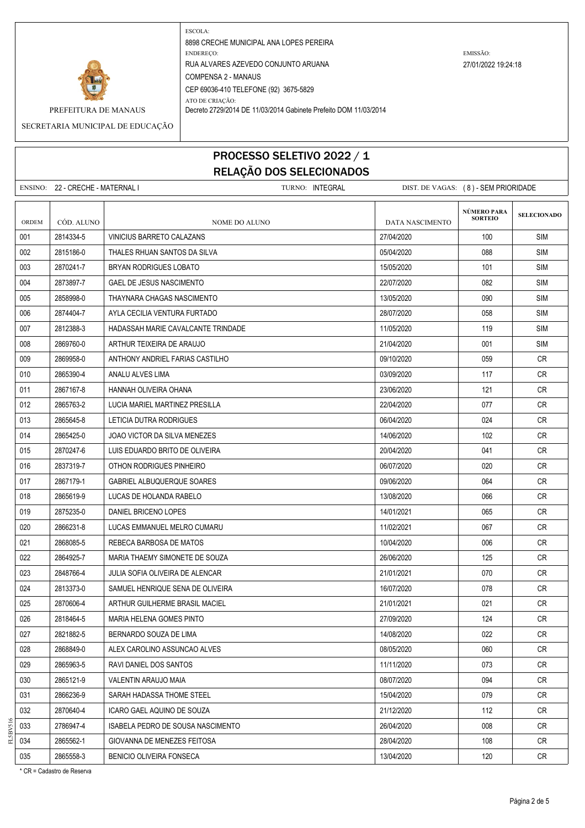

PREFEITURA DE MANAUS Decreto 2729/2014 DE 11/03/2014 Gabinete Prefeito DOM 11/03/2014

SECRETARIA MUNICIPAL DE EDUCAÇÃO

# PROCESSO SELETIVO 2022 / 1 RELAÇÃO DOS SELECIONADOS

ENSINO: 22 - CRECHE - MATERNAL I TURNO: INTEGRAL DIST. DE VAGAS: ( 8 ) - SEM PRIORIDADE **SELECIONADO** ORDEM CÓD. ALUNO **NOME DO ALUNO** NOME DO ALUNO DATA NASCIMENTO 001 2814334-5 VINICIUS BARRETO CALAZANS 27/04/2020 100 SIM 002 2815186-0 THALES RHUAN SANTOS DA SILVA 05/04/2020 088 SIM 003 2870241-7 BRYAN RODRIGUES LOBATO 15/05/2020 SIM 004 2873897-7 GAEL DE JESUS NASCIMENTO 22 22/07/2020 900/2020 004 22/07/2020 082 SIM 005 2858998-0 THAYNARA CHAGAS NASCIMENTO 13/05/2020 SIM 006 | 2874404-7 | AYLA CECILIA VENTURA FURTADO | 28/07/2020 SIM 007 2812388-3 | HADASSAH MARIE CAVALCANTE TRINDADE | 11/05/2020 | 11/05/2020 | 119 | SIM 008 2869760-0 ARTHUR TEIXEIRA DE ARAUJO 21/04/2020 001 SIM 009 2869958-0 ANTHONY ANDRIEL FARIAS CASTILHO 09/10/2020 CR 010 2865390-4 ANALU ALVES LIMA 03/09/2020 117 CR 011 2867167-8 HANNAH OLIVEIRA OHANA 23. JOSEPTA 23/06/2020 123/06/2020 23/06/2020 23/06/2020 23. 23/06/2020 23 012 2865763-2 LUCIA MARIEL MARTINEZ PRESILLA 22/04/2020 2004/2020 2865763-2 CR 013 2865645-8 LETICIA DUTRA RODRIGUES 06/04/2020 024 CR 014 2865425-0 JOAO VICTOR DA SILVA MENEZES 14/06/2020 14/06/2020 102 CR 015 2870247-6 LUIS EDUARDO BRITO DE OLIVEIRA 2000 20004/2020 - 20/04/2020 041 CR 016 2837319-7 OTHON RODRIGUES PINHEIRO 06/07/2020 020 CR 017 2867179-1 GABRIEL ALBUQUERQUE SOARES 09/06/2020 09/06/2020 064 CR 018 2865619-9 LUCAS DE HOLANDA RABELO 13/08/2020 066 CR 019 2875235-0 DANIEL BRICENO LOPES 14/01/2021 - 16/01/2021 065 CR 020 2866231-8 LUCAS EMMANUEL MELRO CUMARU 11/02/2021 067 CR 021 2868085-5 REBECA BARBOSA DE MATOS 10/04/2020 006 CR 022 2864925-7 MARIA THAEMY SIMONETE DE SOUZA 26/06/2020 126/06/2020 2864925-7 CR 023 2848766-4 JULIA SOFIA OLIVEIRA DE ALENCAR 21/01/2021 | 21/01/2021 | 070 | CR 024 2813373-0 SAMUEL HENRIQUE SENA DE OLIVEIRA 1607 - 16/07/2020 16/07/2020 078 CR 025 2870606-4 ARTHUR GUILHERME BRASIL MACIEL 21/01/2021 21/01/2021 23700606-4 ARTHUR GUILHERME BRASIL MACIEL 026 2818464-5 MARIA HELENA GOMES PINTO 27/09/2020 2000 124 CR 027 2821882-5 BERNARDO SOUZA DE LIMA 14/08/2020 14/08/2020 22 CR 028 2868849-0 ALEX CAROLINO ASSUNCAO ALVES 08/05/2020 CR 029 2865963-5 RAVI DANIEL DOS SANTOS 11/11/2020 073 CR 030 2865121-9 VALENTIN ARAUJO MAIA 08/07/2020 094 CR 031 2866236-9 SARAH HADASSA THOME STEEL NEXT CONTROLLED A SARAY 2020 CR 279 CR 032 2870640-4 ICARO GAEL AQUINO DE SOUZA 21/12/2020 20 21/12/2020 21/12 21/12 033 2786947-4 ISABELA PEDRO DE SOUSA NASCIMENTO 26/04/2020 CR 034 2865562-1 GIOVANNA DE MENEZES FEITOSA 28/04/2020 | 28/04/2020 | 108 | CR 035 2865558-3 BENICIO OLIVEIRA FONSECA 13/04/2020 13/04/2020 120 CR **NÚMERO PARA SORTEIO**

\* CR = Cadastro de Reserva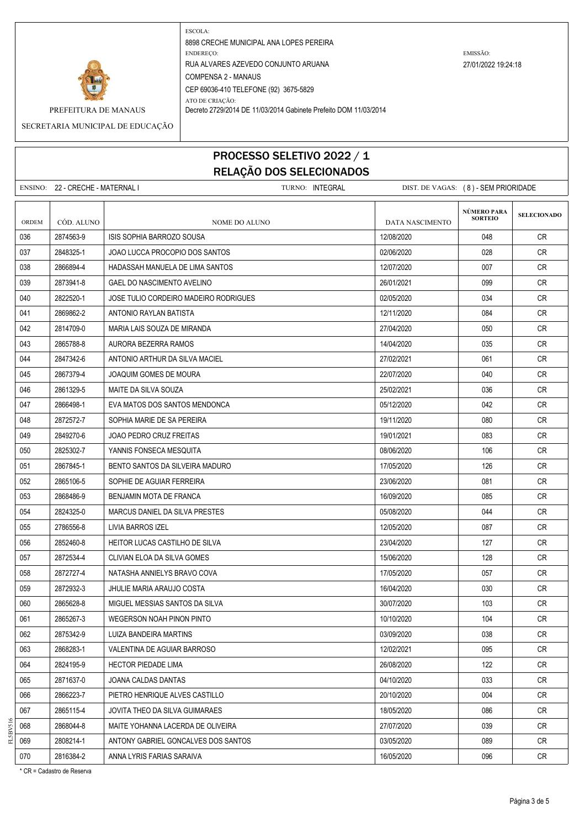

PREFEITURA DE MANAUS Decreto 2729/2014 DE 11/03/2014 Gabinete Prefeito DOM 11/03/2014

SECRETARIA MUNICIPAL DE EDUCAÇÃO

### PROCESSO SELETIVO 2022 / 1 RELAÇÃO DOS SELECIONADOS

|       | ENSINO: 22 - CRECHE - MATERNAL I |                                       | TURNO: INTEGRAL |                 | DIST. DE VAGAS: (8) - SEM PRIORIDADE |                    |
|-------|----------------------------------|---------------------------------------|-----------------|-----------------|--------------------------------------|--------------------|
| ORDEM | CÓD. ALUNO                       | NOME DO ALUNO                         |                 | DATA NASCIMENTO | <b>NÚMERO PARA</b><br><b>SORTEIO</b> | <b>SELECIONADO</b> |
| 036   | 2874563-9                        | ISIS SOPHIA BARROZO SOUSA             |                 | 12/08/2020      | 048                                  | CR.                |
| 037   | 2848325-1                        | JOAO LUCCA PROCOPIO DOS SANTOS        |                 | 02/06/2020      | 028                                  | CR                 |
| 038   | 2866894-4                        | HADASSAH MANUELA DE LIMA SANTOS       |                 | 12/07/2020      | 007                                  | CR                 |
| 039   | 2873941-8                        | <b>GAEL DO NASCIMENTO AVELINO</b>     |                 | 26/01/2021      | 099                                  | CR.                |
| 040   | 2822520-1                        | JOSE TULIO CORDEIRO MADEIRO RODRIGUES |                 | 02/05/2020      | 034                                  | CR                 |
| 041   | 2869862-2                        | ANTONIO RAYLAN BATISTA                |                 | 12/11/2020      | 084                                  | CR                 |
| 042   | 2814709-0                        | MARIA LAIS SOUZA DE MIRANDA           |                 | 27/04/2020      | 050                                  | CR                 |
| 043   | 2865788-8                        | AURORA BEZERRA RAMOS                  |                 | 14/04/2020      | 035                                  | <b>CR</b>          |
| 044   | 2847342-6                        | ANTONIO ARTHUR DA SILVA MACIEL        |                 | 27/02/2021      | 061                                  | CR                 |
| 045   | 2867379-4                        | JOAQUIM GOMES DE MOURA                |                 | 22/07/2020      | 040                                  | <b>CR</b>          |
| 046   | 2861329-5                        | MAITE DA SILVA SOUZA                  |                 | 25/02/2021      | 036                                  | <b>CR</b>          |
| 047   | 2866498-1                        | EVA MATOS DOS SANTOS MENDONCA         |                 | 05/12/2020      | 042                                  | CR                 |
| 048   | 2872572-7                        | SOPHIA MARIE DE SA PEREIRA            |                 | 19/11/2020      | 080                                  | <b>CR</b>          |
| 049   | 2849270-6                        | <b>JOAO PEDRO CRUZ FREITAS</b>        |                 | 19/01/2021      | 083                                  | <b>CR</b>          |
| 050   | 2825302-7                        | YANNIS FONSECA MESQUITA               |                 | 08/06/2020      | 106                                  | CR.                |
| 051   | 2867845-1                        | BENTO SANTOS DA SILVEIRA MADURO       |                 | 17/05/2020      | 126                                  | <b>CR</b>          |
| 052   | 2865106-5                        | SOPHIE DE AGUIAR FERREIRA             |                 | 23/06/2020      | 081                                  | CR                 |
| 053   | 2868486-9                        | BENJAMIN MOTA DE FRANCA               |                 | 16/09/2020      | 085                                  | CR                 |
| 054   | 2824325-0                        | MARCUS DANIEL DA SILVA PRESTES        |                 | 05/08/2020      | 044                                  | <b>CR</b>          |
| 055   | 2786556-8                        | LIVIA BARROS IZEL                     |                 | 12/05/2020      | 087                                  | CR                 |
| 056   | 2852460-8                        | HEITOR LUCAS CASTILHO DE SILVA        |                 | 23/04/2020      | 127                                  | CR.                |
| 057   | 2872534-4                        | CLIVIAN ELOA DA SILVA GOMES           |                 | 15/06/2020      | 128                                  | CR                 |
| 058   | 2872727-4                        | NATASHA ANNIELYS BRAVO COVA           |                 | 17/05/2020      | 057                                  | CR                 |
| 059   | 2872932-3                        | JHULIE MARIA ARAUJO COSTA             |                 | 16/04/2020      | 030                                  | CR                 |
| 060   | 2865628-8                        | MIGUEL MESSIAS SANTOS DA SILVA        |                 | 30/07/2020      | 103                                  | CR                 |
| 061   | 2865267-3                        | WEGERSON NOAH PINON PINTO             |                 | 10/10/2020      | 104                                  | CR                 |
| 062   | 2875342-9                        | LUIZA BANDEIRA MARTINS                |                 | 03/09/2020      | 038                                  | CR                 |
| 063   | 2868283-1                        | VALENTINA DE AGUIAR BARROSO           |                 | 12/02/2021      | 095                                  | CR                 |
| 064   | 2824195-9                        | <b>HECTOR PIEDADE LIMA</b>            |                 | 26/08/2020      | 122                                  | CR                 |
| 065   | 2871637-0                        | JOANA CALDAS DANTAS                   |                 | 04/10/2020      | 033                                  | CR                 |
| 066   | 2866223-7                        | PIETRO HENRIQUE ALVES CASTILLO        |                 | 20/10/2020      | 004                                  | CR                 |
| 067   | 2865115-4                        | JOVITA THEO DA SILVA GUIMARAES        |                 | 18/05/2020      | 086                                  | CR                 |
| 068   | 2868044-8                        | MAITE YOHANNA LACERDA DE OLIVEIRA     |                 | 27/07/2020      | 039                                  | <b>CR</b>          |
| 069   | 2808214-1                        | ANTONY GABRIEL GONCALVES DOS SANTOS   |                 | 03/05/2020      | 089                                  | CR                 |
| 070   | 2816384-2                        | ANNA LYRIS FARIAS SARAIVA             |                 | 16/05/2020      | 096                                  | CR                 |

\* CR = Cadastro de Reserva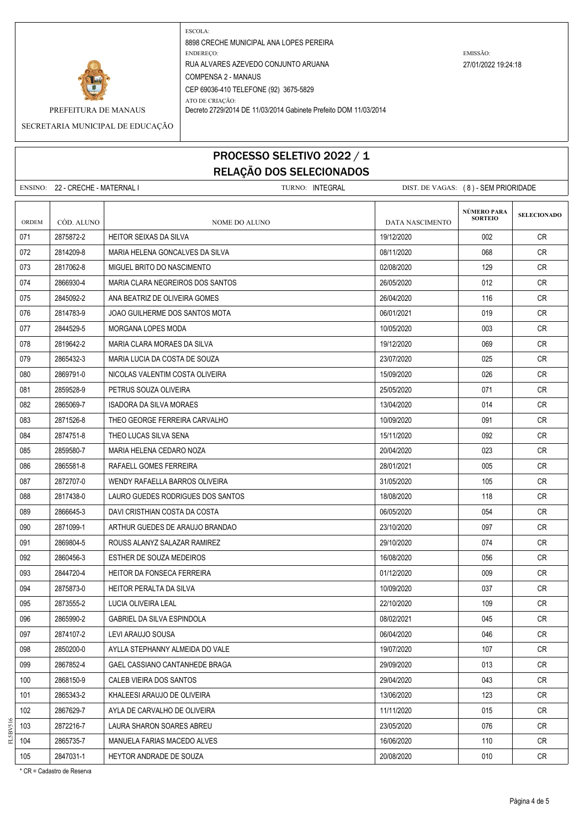

PREFEITURA DE MANAUS Decreto 2729/2014 DE 11/03/2014 Gabinete Prefeito DOM 11/03/2014

SECRETARIA MUNICIPAL DE EDUCAÇÃO

### PROCESSO SELETIVO 2022 / 1 RELAÇÃO DOS SELECIONADOS

ENSINO: 22 - CRECHE - MATERNAL I TURNO: INTEGRAL DIST. DE VAGAS: ( 8 ) - SEM PRIORIDADE **SELECIONADO** ORDEM CÓD. ALUNO **NOME DO ALUNO** NOME DO ALUNO DATA NASCIMENTO 071 2875872-2 HEITOR SEIXAS DA SILVA 19/12/2020 002 CR 072 2814209-8 MARIA HELENA GONCALVES DA SILVA 08/11/2020 068 CR 073 2817062-8 MIGUEL BRITO DO NASCIMENTO 02/08/2020 129 CR 074 2866930-4 MARIA CLARA NEGREIROS DOS SANTOS 2605/2020 26/05/2020 12:012 CR 075 2845092-2 ANA BEATRIZ DE OLIVEIRA GOMES 26/04/2020 26/04/2020 116 CR 076 2814783-9 JOAO GUILHERME DOS SANTOS MOTA 06/01/2021 CR 077 2844529-5 MORGANA LOPES MODA 10/05/2020 003 CR 078 2819642-2 MARIA CLARA MORAES DA SILVA 1911 - 2001 - 2002 078 CR 079 2865432-3 | MARIA LUCIA DA COSTA DE SOUZA 23/07/2020 | 23/07/2020 | 23/07/2020 | 23/07/2020 | CR 080 2869791-0 NICOLAS VALENTIM COSTA OLIVEIRA 15/09/2020 15/09/2020 200 26 CR 081 2859528-9 PETRUS SOUZA OLIVEIRA 25/05/2020 25/05/2020 25/05/2020 25/05/2020 25/05/2020 271 CR 082 2865069-7 ISADORA DA SILVA MORAES 13/04/2020 CR 083 2871526-8 THEO GEORGE FERREIRA CARVALHO 10/09/2020 CR 084 2874751-8 THEO LUCAS SILVA SENA 15/11/2020 CR 085 2859580-7 MARIA HELENA CEDARO NOZA 2002 2009 2009/2020 2009/2020 2059580-7 CR 086 2865581-8 RAFAELL GOMES FERREIRA 28/01/2021 005 CR 087 2872707-0 WENDY RAFAELLA BARROS OLIVEIRA 31/05/2020 31/05/2020 105 CR 088 2817438-0 LAURO GUEDES RODRIGUES DOS SANTOS 18/08/2020 18/08/2020 118 CR 089 2866645-3 DAVI CRISTHIAN COSTA DA COSTA DA COSTA DE LA COSTA DE LA CRISTO DE LA CRISTO DE LA CRISTO DE LA CR 090 2871099-1 ARTHUR GUEDES DE ARAUJO BRANDAO 23/10/2020 097 CR 091 2869804-5 ROUSS ALANYZ SALAZAR RAMIREZ 29/10/2020 074 CR 092 2860456-3 ESTHER DE SOUZA MEDEIROS 1600000 1608/2020 16/08/2020 056 CR 093 2844720-4 HEITOR DA FONSECA FERREIRA 01/12/2020 009 CR 094 2875873-0 HEITOR PERALTA DA SILVA 1000-000 10009/2020 1009/2020 037 CR 095 | 2873555-2 | LUCIA OLIVEIRA LEAL | 22/10/2020 CR 096 2865990-2 GABRIEL DA SILVA ESPINDOLA 08/02/2021 045 CR 097 2874107-2 LEVI ARAUJO SOUSA 06/04/2020 046 CR 098 2850200-0 AYLLA STEPHANNY ALMEIDA DO VALE 2000 19907/2020 107 CR 099 2867852-4 GAEL CASSIANO CANTANHEDE BRAGA 29/09/2020 2009/2020 29/09/2020 2013 CR 100 2868150-9 CALEB VIEIRA DOS SANTOS 29/04/2020 043 CR 101 2865343-2 KHALEESI ARAUJO DE OLIVEIRA 13/06/2020 13/06/2020 123 CR 102 2867629-7 AYLA DE CARVALHO DE OLIVEIRA 11/11/11/11/11/11/11/11/11/11/11/11/2020 200 2015 CR 103 2872216-7 LAURA SHARON SOARES ABREU 23/05/2020 076 CR 104 2865735-7 MANUELA FARIAS MACEDO ALVES 16-00 100 110 CR 16/06/2020 110 CR 105 2847031-1 HEYTOR ANDRADE DE SOUZA 2008/2020 3008/2020 20/08/2020 2010 CR **NÚMERO PARA SORTEIO**

\* CR = Cadastro de Reserva